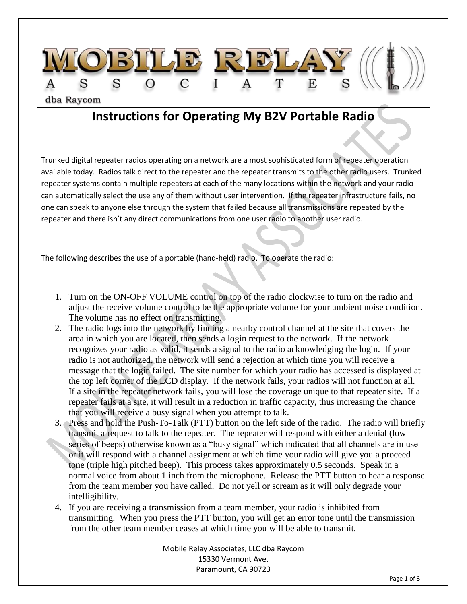

## **Instructions for Operating My B2V Portable Radio**

Trunked digital repeater radios operating on a network are a most sophisticated form of repeater operation available today. Radios talk direct to the repeater and the repeater transmits to the other radio users. Trunked repeater systems contain multiple repeaters at each of the many locations within the network and your radio can automatically select the use any of them without user intervention. If the repeater infrastructure fails, no one can speak to anyone else through the system that failed because all transmissions are repeated by the repeater and there isn't any direct communications from one user radio to another user radio.

The following describes the use of a portable (hand-held) radio. To operate the radio:

- 1. Turn on the ON-OFF VOLUME control on top of the radio clockwise to turn on the radio and adjust the receive volume control to be the appropriate volume for your ambient noise condition. The volume has no effect on transmitting.
- 2. The radio logs into the network by finding a nearby control channel at the site that covers the area in which you are located, then sends a login request to the network. If the network recognizes your radio as valid, it sends a signal to the radio acknowledging the login. If your radio is not authorized, the network will send a rejection at which time you will receive a message that the login failed. The site number for which your radio has accessed is displayed at the top left corner of the LCD display. If the network fails, your radios will not function at all. If a site in the repeater network fails, you will lose the coverage unique to that repeater site. If a repeater fails at a site, it will result in a reduction in traffic capacity, thus increasing the chance that you will receive a busy signal when you attempt to talk.
- 3. Press and hold the Push-To-Talk (PTT) button on the left side of the radio. The radio will briefly transmit a request to talk to the repeater. The repeater will respond with either a denial (low series of beeps) otherwise known as a "busy signal" which indicated that all channels are in use or it will respond with a channel assignment at which time your radio will give you a proceed tone (triple high pitched beep). This process takes approximately 0.5 seconds. Speak in a normal voice from about 1 inch from the microphone. Release the PTT button to hear a response from the team member you have called. Do not yell or scream as it will only degrade your intelligibility.
- 4. If you are receiving a transmission from a team member, your radio is inhibited from transmitting. When you press the PTT button, you will get an error tone until the transmission from the other team member ceases at which time you will be able to transmit.

Mobile Relay Associates, LLC dba Raycom 15330 Vermont Ave. Paramount, CA 90723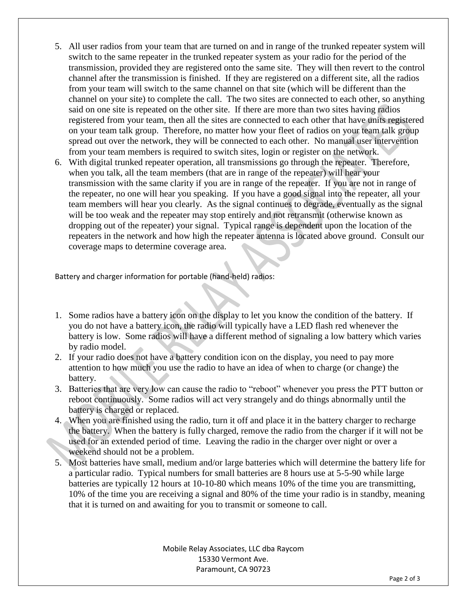- 5. All user radios from your team that are turned on and in range of the trunked repeater system will switch to the same repeater in the trunked repeater system as your radio for the period of the transmission, provided they are registered onto the same site. They will then revert to the control channel after the transmission is finished. If they are registered on a different site, all the radios from your team will switch to the same channel on that site (which will be different than the channel on your site) to complete the call. The two sites are connected to each other, so anything said on one site is repeated on the other site. If there are more than two sites having radios registered from your team, then all the sites are connected to each other that have units registered on your team talk group. Therefore, no matter how your fleet of radios on your team talk group spread out over the network, they will be connected to each other. No manual user intervention from your team members is required to switch sites, login or register on the network.
- 6. With digital trunked repeater operation, all transmissions go through the repeater. Therefore, when you talk, all the team members (that are in range of the repeater) will hear your transmission with the same clarity if you are in range of the repeater. If you are not in range of the repeater, no one will hear you speaking. If you have a good signal into the repeater, all your team members will hear you clearly. As the signal continues to degrade, eventually as the signal will be too weak and the repeater may stop entirely and not retransmit (otherwise known as dropping out of the repeater) your signal. Typical range is dependent upon the location of the repeaters in the network and how high the repeater antenna is located above ground. Consult our coverage maps to determine coverage area.

Battery and charger information for portable (hand-held) radios:

- 1. Some radios have a battery icon on the display to let you know the condition of the battery. If you do not have a battery icon, the radio will typically have a LED flash red whenever the battery is low. Some radios will have a different method of signaling a low battery which varies by radio model.
- 2. If your radio does not have a battery condition icon on the display, you need to pay more attention to how much you use the radio to have an idea of when to charge (or change) the battery.
- 3. Batteries that are very low can cause the radio to "reboot" whenever you press the PTT button or reboot continuously. Some radios will act very strangely and do things abnormally until the battery is charged or replaced.
- 4. When you are finished using the radio, turn it off and place it in the battery charger to recharge the battery. When the battery is fully charged, remove the radio from the charger if it will not be used for an extended period of time. Leaving the radio in the charger over night or over a weekend should not be a problem.
- 5. Most batteries have small, medium and/or large batteries which will determine the battery life for a particular radio. Typical numbers for small batteries are 8 hours use at 5-5-90 while large batteries are typically 12 hours at 10-10-80 which means 10% of the time you are transmitting, 10% of the time you are receiving a signal and 80% of the time your radio is in standby, meaning that it is turned on and awaiting for you to transmit or someone to call.

Mobile Relay Associates, LLC dba Raycom 15330 Vermont Ave. Paramount, CA 90723